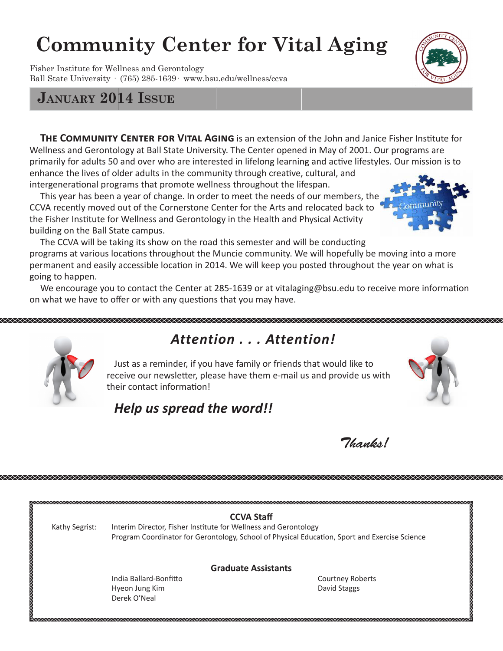# **Community Center for Vital Aging**

Fisher Institute for Wellness and Gerontology Ball State University · (765) 285-1639· www.bsu.edu/wellness/ccva

## **January 2014 Issue**

**THE COMMUNITY CENTER FOR VITAL AGING** is an extension of the John and Janice Fisher Institute for Wellness and Gerontology at Ball State University. The Center opened in May of 2001. Our programs are primarily for adults 50 and over who are interested in lifelong learning and active lifestyles. Our mission is to enhance the lives of older adults in the community through creative, cultural, and intergenerational programs that promote wellness throughout the lifespan.

 This year has been a year of change. In order to meet the needs of our members, the CCVA recently moved out of the Cornerstone Center for the Arts and relocated back to the Fisher Institute for Wellness and Gerontology in the Health and Physical Activity building on the Ball State campus.

 The CCVA will be taking its show on the road this semester and will be conducting programs at various locations throughout the Muncie community. We will hopefully be moving into a more permanent and easily accessible location in 2014. We will keep you posted throughout the year on what is going to happen.

 We encourage you to contact the Center at 285-1639 or at vitalaging@bsu.edu to receive more information on what we have to offer or with any questions that you may have.



# *Attention . . . Attention!*

 Just as a reminder, if you have family or friends that would like to receive our newsletter, please have them e-mail us and provide us with their contact information!



 $7$ *hanks!* 

## *Help us spread the word!!*

|                | <b>CCVA Staff</b>                                                                                                                                                |                         |
|----------------|------------------------------------------------------------------------------------------------------------------------------------------------------------------|-------------------------|
| Kathy Segrist: | Interim Director, Fisher Institute for Wellness and Gerontology<br>Program Coordinator for Gerontology, School of Physical Education, Sport and Exercise Science |                         |
|                |                                                                                                                                                                  |                         |
|                | <b>Graduate Assistants</b>                                                                                                                                       |                         |
|                | India Ballard-Bonfitto                                                                                                                                           | <b>Courtney Roberts</b> |
|                | Hyeon Jung Kim                                                                                                                                                   | David Staggs            |
|                | Derek O'Neal                                                                                                                                                     |                         |



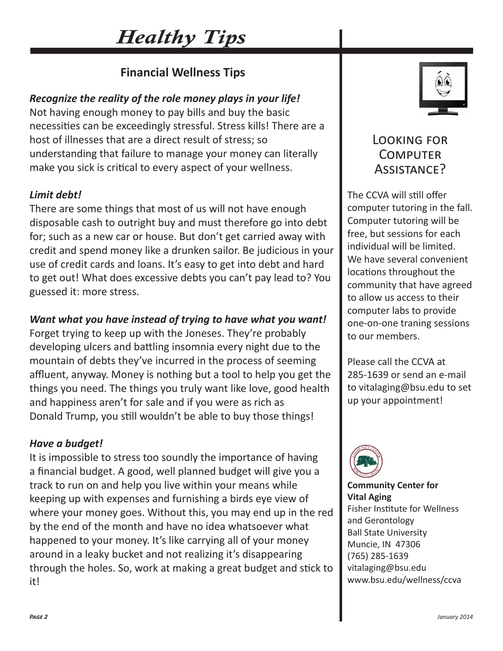# *Healthy Tips*

## **Financial Wellness Tips**

## *Recognize the reality of the role money plays in your life!*

Not having enough money to pay bills and buy the basic necessities can be exceedingly stressful. Stress kills! There are a host of illnesses that are a direct result of stress; so understanding that failure to manage your money can literally make you sick is critical to every aspect of your wellness.

### *Limit debt!*

There are some things that most of us will not have enough disposable cash to outright buy and must therefore go into debt for; such as a new car or house. But don't get carried away with credit and spend money like a drunken sailor. Be judicious in your use of credit cards and loans. It's easy to get into debt and hard to get out! What does excessive debts you can't pay lead to? You guessed it: more stress.

### *Want what you have instead of trying to have what you want!*

Forget trying to keep up with the Joneses. They're probably developing ulcers and battling insomnia every night due to the mountain of debts they've incurred in the process of seeming affluent, anyway. Money is nothing but a tool to help you get the things you need. The things you truly want like love, good health and happiness aren't for sale and if you were as rich as Donald Trump, you still wouldn't be able to buy those things!

#### *Have a budget!*

It is impossible to stress too soundly the importance of having a financial budget. A good, well planned budget will give you a track to run on and help you live within your means while keeping up with expenses and furnishing a birds eye view of where your money goes. Without this, you may end up in the red by the end of the month and have no idea whatsoever what happened to your money. It's like carrying all of your money around in a leaky bucket and not realizing it's disappearing through the holes. So, work at making a great budget and stick to it!



## Looking for **COMPUTER** Assistance?

The CCVA will still offer computer tutoring in the fall. Computer tutoring will be free, but sessions for each individual will be limited. We have several convenient locations throughout the community that have agreed to allow us access to their computer labs to provide one-on-one traning sessions to our members.

Please call the CCVA at 285-1639 or send an e-mail to vitalaging@bsu.edu to set up your appointment!



**Community Center for Vital Aging** Fisher Institute for Wellness and Gerontology Ball State University Muncie, IN 47306 (765) 285-1639 vitalaging@bsu.edu www.bsu.edu/wellness/ccva